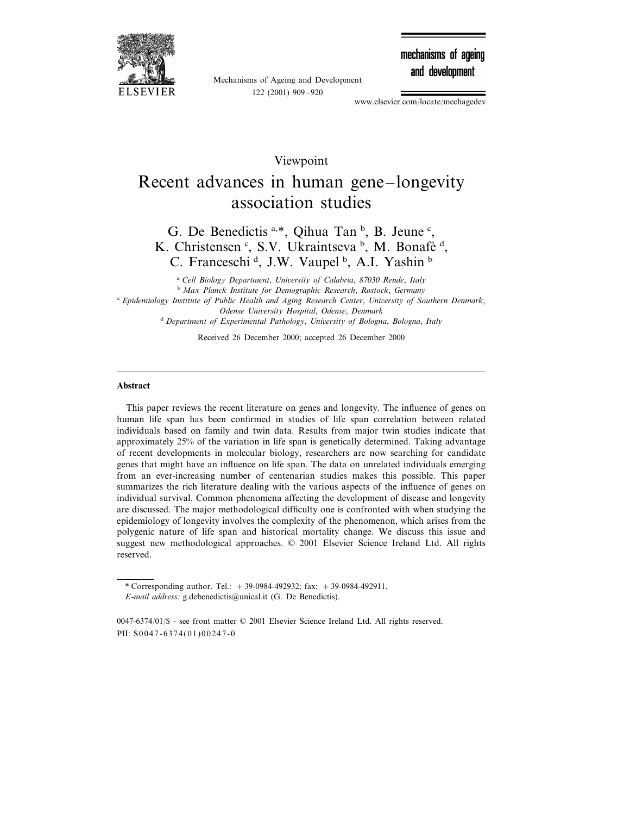

Mechanisms of Ageing and Development 122 (2001) 909–920

mechanisms of ageing and development

www.elsevier.com/locate/mechagedev

# Viewpoint Recent advances in human gene–longevity association studies

G. De Benedictis a,\*, Qihua Tan  $\frac{1}{2}$ , B. Jeune  $\frac{1}{2}$ , K. Christensen<sup>c</sup>, S.V. Ukraintseva <sup>b</sup>, M. Bonafè <sup>d</sup>, C. Franceschi<sup>d</sup>, J.W. Vaupel<sup>b</sup>, A.I. Yashin<sup>b</sup>

<sup>a</sup> *Cell Biology Department*, *Uniersity of Calabria*, <sup>87030</sup> *Rende*, *Italy* <sup>b</sup> *Max Planck Institute for Demographic Research*, *Rostock*, *Germany* <sup>c</sup> *Epidemiology Institute of Public Health and Aging Research Center*, *Uniersity of Southern Denmark*, *Odense Uniersity Hospital*, *Odense*, *Denmark* <sup>d</sup> *Department of Experimental Pathology*, *Uniersity of Bologna*, *Bologna*, *Italy*

Received 26 December 2000; accepted 26 December 2000

# **Abstract**

This paper reviews the recent literature on genes and longevity. The influence of genes on human life span has been confirmed in studies of life span correlation between related individuals based on family and twin data. Results from major twin studies indicate that approximately 25% of the variation in life span is genetically determined. Taking advantage of recent developments in molecular biology, researchers are now searching for candidate genes that might have an influence on life span. The data on unrelated individuals emerging from an ever-increasing number of centenarian studies makes this possible. This paper summarizes the rich literature dealing with the various aspects of the influence of genes on individual survival. Common phenomena affecting the development of disease and longevity are discussed. The major methodological difficulty one is confronted with when studying the epidemiology of longevity involves the complexity of the phenomenon, which arises from the polygenic nature of life span and historical mortality change. We discuss this issue and suggest new methodological approaches. © 2001 Elsevier Science Ireland Ltd. All rights reserved.

<sup>\*</sup> Corresponding author. Tel.:  $+39-0984-492932$ ; fax:  $+39-0984-492911$ .

*E*-*mail address*: g.debenedictis@unical.it (G. De Benedictis).

<sup>0047-6374</sup>/01/\$ - see front matter © 2001 Elsevier Science Ireland Ltd. All rights reserved. PII:  $S$ 0047-6374(01)00247-0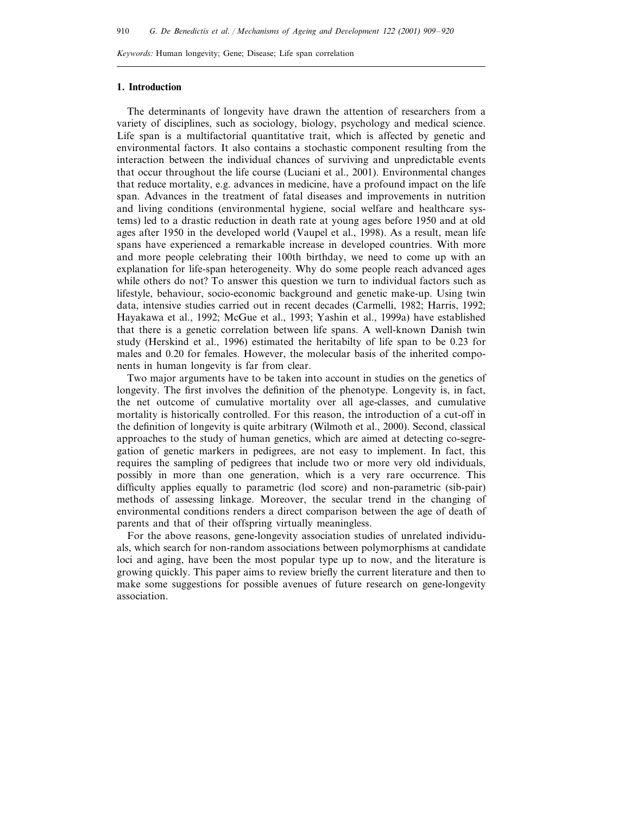*Keywords*: Human longevity; Gene; Disease; Life span correlation

# **1. Introduction**

The determinants of longevity have drawn the attention of researchers from a variety of disciplines, such as sociology, biology, psychology and medical science. Life span is a multifactorial quantitative trait, which is affected by genetic and environmental factors. It also contains a stochastic component resulting from the interaction between the individual chances of surviving and unpredictable events that occur throughout the life course (Luciani et al., 2001). Environmental changes that reduce mortality, e.g. advances in medicine, have a profound impact on the life span. Advances in the treatment of fatal diseases and improvements in nutrition and living conditions (environmental hygiene, social welfare and healthcare systems) led to a drastic reduction in death rate at young ages before 1950 and at old ages after 1950 in the developed world (Vaupel et al., 1998). As a result, mean life spans have experienced a remarkable increase in developed countries. With more and more people celebrating their 100th birthday, we need to come up with an explanation for life-span heterogeneity. Why do some people reach advanced ages while others do not? To answer this question we turn to individual factors such as lifestyle, behaviour, socio-economic background and genetic make-up. Using twin data, intensive studies carried out in recent decades (Carmelli, 1982; Harris, 1992; Hayakawa et al., 1992; McGue et al., 1993; Yashin et al., 1999a) have established that there is a genetic correlation between life spans. A well-known Danish twin study (Herskind et al., 1996) estimated the heritabilty of life span to be 0.23 for males and 0.20 for females. However, the molecular basis of the inherited components in human longevity is far from clear.

Two major arguments have to be taken into account in studies on the genetics of longevity. The first involves the definition of the phenotype. Longevity is, in fact, the net outcome of cumulative mortality over all age-classes, and cumulative mortality is historically controlled. For this reason, the introduction of a cut-off in the definition of longevity is quite arbitrary (Wilmoth et al., 2000). Second, classical approaches to the study of human genetics, which are aimed at detecting co-segregation of genetic markers in pedigrees, are not easy to implement. In fact, this requires the sampling of pedigrees that include two or more very old individuals, possibly in more than one generation, which is a very rare occurrence. This difficulty applies equally to parametric (lod score) and non-parametric (sib-pair) methods of assessing linkage. Moreover, the secular trend in the changing of environmental conditions renders a direct comparison between the age of death of parents and that of their offspring virtually meaningless.

For the above reasons, gene-longevity association studies of unrelated individuals, which search for non-random associations between polymorphisms at candidate loci and aging, have been the most popular type up to now, and the literature is growing quickly. This paper aims to review briefly the current literature and then to make some suggestions for possible avenues of future research on gene-longevity association.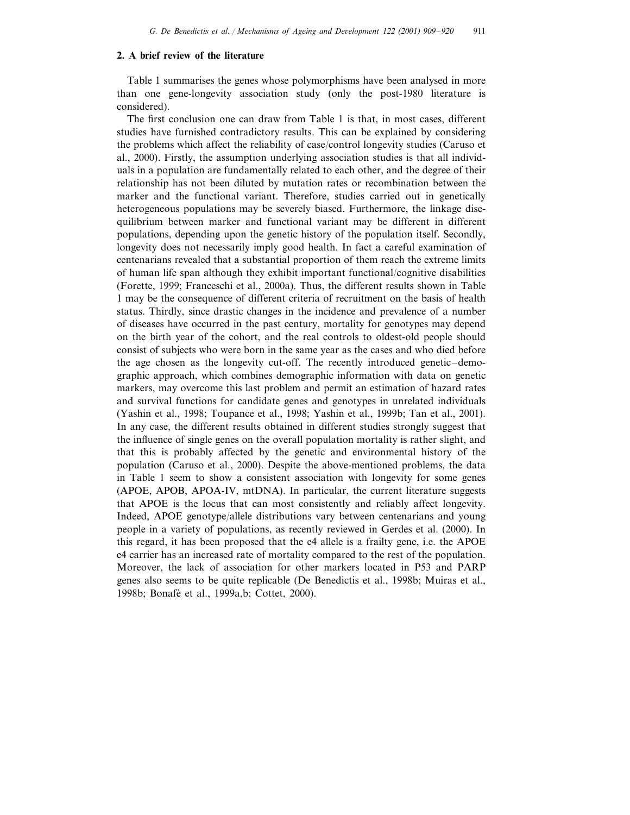#### **2. A brief review of the literature**

Table 1 summarises the genes whose polymorphisms have been analysed in more than one gene-longevity association study (only the post-1980 literature is considered).

The first conclusion one can draw from Table 1 is that, in most cases, different studies have furnished contradictory results. This can be explained by considering the problems which affect the reliability of case/control longevity studies (Caruso et al., 2000). Firstly, the assumption underlying association studies is that all individuals in a population are fundamentally related to each other, and the degree of their relationship has not been diluted by mutation rates or recombination between the marker and the functional variant. Therefore, studies carried out in genetically heterogeneous populations may be severely biased. Furthermore, the linkage disequilibrium between marker and functional variant may be different in different populations, depending upon the genetic history of the population itself. Secondly, longevity does not necessarily imply good health. In fact a careful examination of centenarians revealed that a substantial proportion of them reach the extreme limits of human life span although they exhibit important functional/cognitive disabilities (Forette, 1999; Franceschi et al., 2000a). Thus, the different results shown in Table 1 may be the consequence of different criteria of recruitment on the basis of health status. Thirdly, since drastic changes in the incidence and prevalence of a number of diseases have occurred in the past century, mortality for genotypes may depend on the birth year of the cohort, and the real controls to oldest-old people should consist of subjects who were born in the same year as the cases and who died before the age chosen as the longevity cut-off. The recently introduced genetic–demographic approach, which combines demographic information with data on genetic markers, may overcome this last problem and permit an estimation of hazard rates and survival functions for candidate genes and genotypes in unrelated individuals (Yashin et al., 1998; Toupance et al., 1998; Yashin et al., 1999b; Tan et al., 2001). In any case, the different results obtained in different studies strongly suggest that the influence of single genes on the overall population mortality is rather slight, and that this is probably affected by the genetic and environmental history of the population (Caruso et al., 2000). Despite the above-mentioned problems, the data in Table 1 seem to show a consistent association with longevity for some genes (APOE, APOB, APOA-IV, mtDNA). In particular, the current literature suggests that APOE is the locus that can most consistently and reliably affect longevity. Indeed, APOE genotype/allele distributions vary between centenarians and young people in a variety of populations, as recently reviewed in Gerdes et al. (2000). In this regard, it has been proposed that the e4 allele is a frailty gene, i.e. the APOE e4 carrier has an increased rate of mortality compared to the rest of the population. Moreover, the lack of association for other markers located in P53 and PARP genes also seems to be quite replicable (De Benedictis et al., 1998b; Muiras et al., 1998b; Bonafè et al., 1999a,b; Cottet, 2000).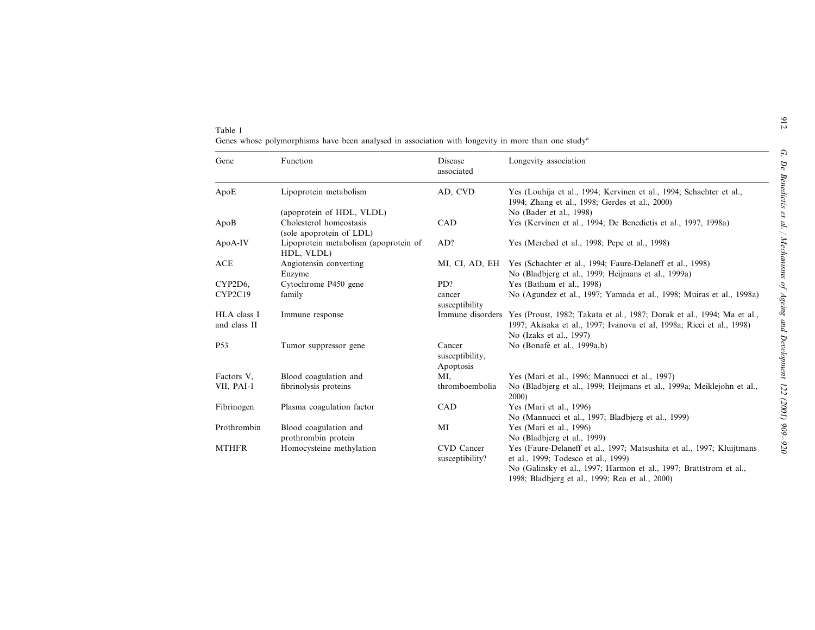| Table 1 |  |  |  |                                                                                                   |  |  |  |  |
|---------|--|--|--|---------------------------------------------------------------------------------------------------|--|--|--|--|
|         |  |  |  | Genes whose polymorphisms have been analysed in association with longevity in more than one study |  |  |  |  |

| Gene                        | Function                                            | Disease<br>associated                  | Longevity association                                                                                                                                                                                                                 |
|-----------------------------|-----------------------------------------------------|----------------------------------------|---------------------------------------------------------------------------------------------------------------------------------------------------------------------------------------------------------------------------------------|
| ApoE                        | Lipoprotein metabolism                              | AD, CVD                                | Yes (Louhija et al., 1994; Kervinen et al., 1994; Schachter et al.,<br>1994; Zhang et al., 1998; Gerdes et al., 2000)                                                                                                                 |
|                             | (apoprotein of HDL, VLDL)                           |                                        | No (Bader et al., 1998)                                                                                                                                                                                                               |
| ApoB                        | Cholesterol homeostasis<br>(sole apoprotein of LDL) | <b>CAD</b>                             | Yes (Kervinen et al., 1994; De Benedictis et al., 1997, 1998a)                                                                                                                                                                        |
| ApoA-IV                     | Lipoprotein metabolism (apoprotein of<br>HDL, VLDL) | AD?                                    | Yes (Merched et al., 1998; Pepe et al., 1998)                                                                                                                                                                                         |
| <b>ACE</b>                  | Angiotensin converting<br>Enzyme                    |                                        | MI, CI, AD, EH Yes (Schachter et al., 1994; Faure-Delaneff et al., 1998)<br>No (Bladbjerg et al., 1999; Heijmans et al., 1999a)                                                                                                       |
| CYP2D6,                     | Cytochrome P450 gene                                | PD?                                    | Yes (Bathum et al., 1998)                                                                                                                                                                                                             |
| CYP2C19                     | family                                              | cancer<br>susceptibility               | No (Agundez et al., 1997; Yamada et al., 1998; Muiras et al., 1998a)                                                                                                                                                                  |
| HLA class I<br>and class II | Immune response                                     | Immune disorders                       | Yes (Proust, 1982; Takata et al., 1987; Dorak et al., 1994; Ma et al.,<br>1997; Akisaka et al., 1997; Ivanova et al, 1998a; Ricci et al., 1998)<br>No (Izaks et al., 1997)                                                            |
| <b>P53</b>                  | Tumor suppressor gene                               | Cancer<br>susceptibility,<br>Apoptosis | No (Bonafè et al., 1999a,b)                                                                                                                                                                                                           |
| Factors V,                  | Blood coagulation and                               | MI.                                    | Yes (Mari et al., 1996; Mannucci et al., 1997)                                                                                                                                                                                        |
| VII, PAI-1                  | fibrinolysis proteins                               | thromboembolia                         | No (Bladbjerg et al., 1999; Heijmans et al., 1999a; Meiklejohn et al.,<br>2000)                                                                                                                                                       |
| Fibrinogen                  | Plasma coagulation factor                           | CAD                                    | Yes (Mari et al., 1996)<br>No (Mannucci et al., 1997; Bladbjerg et al., 1999)                                                                                                                                                         |
| Prothrombin                 | Blood coagulation and<br>prothrombin protein        | MI                                     | Yes (Mari et al., 1996)<br>No (Bladbjerg et al., 1999)                                                                                                                                                                                |
| <b>MTHFR</b>                | Homocysteine methylation                            | <b>CVD</b> Cancer<br>susceptibility?   | Yes (Faure-Delaneff et al., 1997; Matsushita et al., 1997; Kluijtmans<br>et al., 1999; Todesco et al., 1999)<br>No (Galinsky et al., 1997; Harmon et al., 1997; Brattstrom et al.,<br>1998; Bladbjerg et al., 1999; Rea et al., 2000) |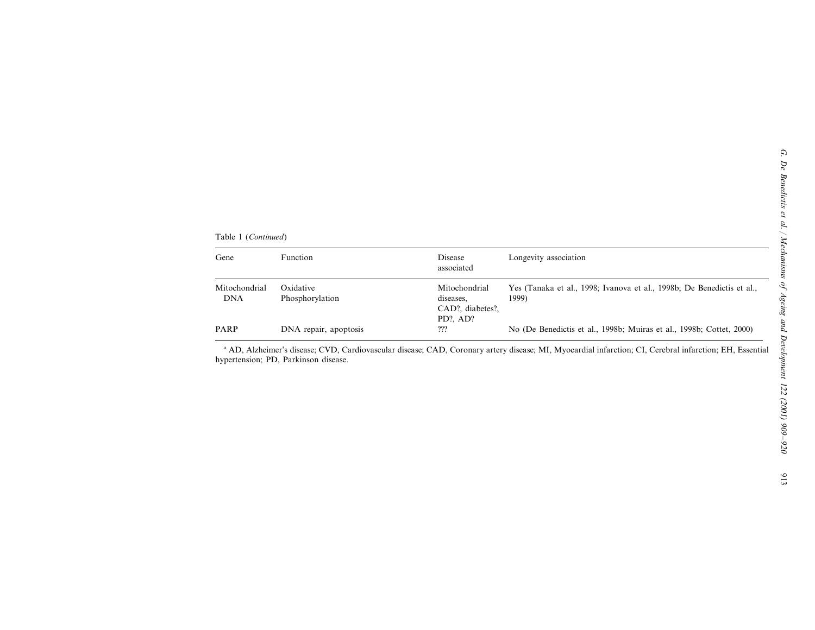Table 1 (*Continued*)

| Gene                        | Function                     | Disease<br>associated                                           | Longevity association                                                           |  |  |  |  |
|-----------------------------|------------------------------|-----------------------------------------------------------------|---------------------------------------------------------------------------------|--|--|--|--|
| Mitochondrial<br><b>DNA</b> | Oxidative<br>Phosphorylation | Mitochondrial<br>diseases.<br>CAD?, diabetes?,<br>$PD?$ . $AD?$ | Yes (Tanaka et al., 1998; Ivanova et al., 1998b; De Benedictis et al.,<br>1999) |  |  |  |  |
| <b>PARP</b>                 | DNA repair, apoptosis        | ???                                                             | No (De Benedictis et al., 1998b; Muiras et al., 1998b; Cottet, 2000)            |  |  |  |  |

a AD, Alzheimer's disease; CVD, Cardiovascular disease; CAD, Coronary artery disease; MI, Myocardial infarction; CI, Cerebral infarction; EH, Essential hypertension; PD, Parkinson disease.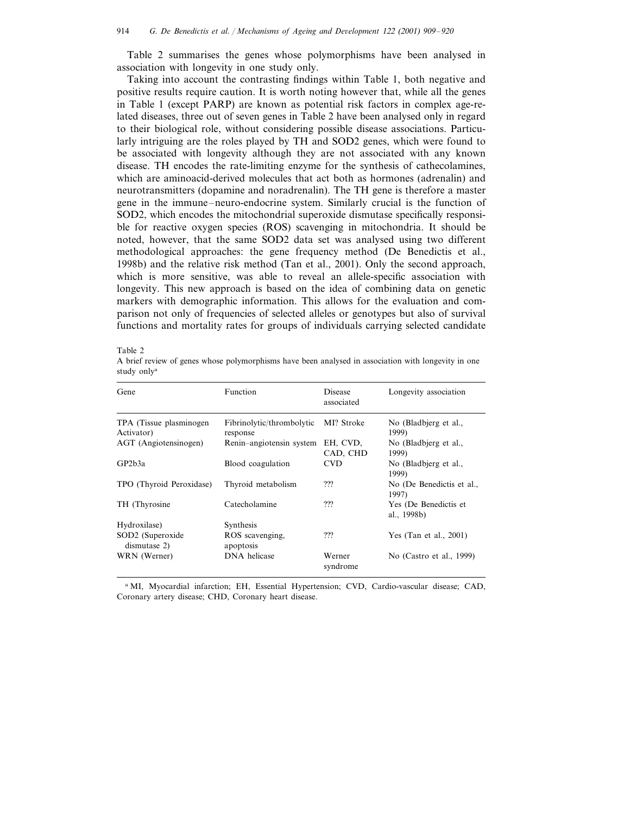Table 2 summarises the genes whose polymorphisms have been analysed in association with longevity in one study only.

Taking into account the contrasting findings within Table 1, both negative and positive results require caution. It is worth noting however that, while all the genes in Table 1 (except PARP) are known as potential risk factors in complex age-related diseases, three out of seven genes in Table 2 have been analysed only in regard to their biological role, without considering possible disease associations. Particularly intriguing are the roles played by TH and SOD2 genes, which were found to be associated with longevity although they are not associated with any known disease. TH encodes the rate-limiting enzyme for the synthesis of cathecolamines, which are aminoacid-derived molecules that act both as hormones (adrenalin) and neurotransmitters (dopamine and noradrenalin). The TH gene is therefore a master gene in the immune–neuro-endocrine system. Similarly crucial is the function of SOD2, which encodes the mitochondrial superoxide dismutase specifically responsible for reactive oxygen species (ROS) scavenging in mitochondria. It should be noted, however, that the same SOD2 data set was analysed using two different methodological approaches: the gene frequency method (De Benedictis et al., 1998b) and the relative risk method (Tan et al., 2001). Only the second approach, which is more sensitive, was able to reveal an allele-specific association with longevity. This new approach is based on the idea of combining data on genetic markers with demographic information. This allows for the evaluation and comparison not only of frequencies of selected alleles or genotypes but also of survival functions and mortality rates for groups of individuals carrying selected candidate

| Gene                                   | Function                              | <b>Disease</b><br>associated | Longevity association                |
|----------------------------------------|---------------------------------------|------------------------------|--------------------------------------|
| TPA (Tissue plasminogen)<br>Activator) | Fibrinolytic/thrombolytic<br>response | MI? Stroke                   | No (Bladbjerg et al.,<br>1999)       |
| AGT (Angiotensinogen)                  | Renin-angiotensin system              | EH, CVD,<br>CAD, CHD         | No (Bladbierg et al.,<br>1999)       |
| GP2b3a                                 | Blood coagulation                     | <b>CVD</b>                   | No (Bladbjerg et al.,<br>1999)       |
| TPO (Thyroid Peroxidase)               | Thyroid metabolism                    | ???                          | No (De Benedictis et al.,<br>1997)   |
| TH (Thyrosine)                         | Catecholamine                         | ???                          | Yes (De Benedictis et<br>al., 1998b) |
| Hydroxilase)                           | Synthesis                             |                              |                                      |
| SOD2 (Superoxide<br>dismutase 2)       | ROS scavenging.<br>apoptosis          | ???                          | Yes (Tan et al., $2001$ )            |
| WRN (Werner)                           | DNA helicase                          | Werner<br>syndrome           | No (Castro et al., 1999)             |

Table 2

A brief review of genes whose polymorphisms have been analysed in association with longevity in one study only<sup>a</sup>

<sup>a</sup> MI, Myocardial infarction; EH, Essential Hypertension; CVD, Cardio-vascular disease; CAD, Coronary artery disease; CHD, Coronary heart disease.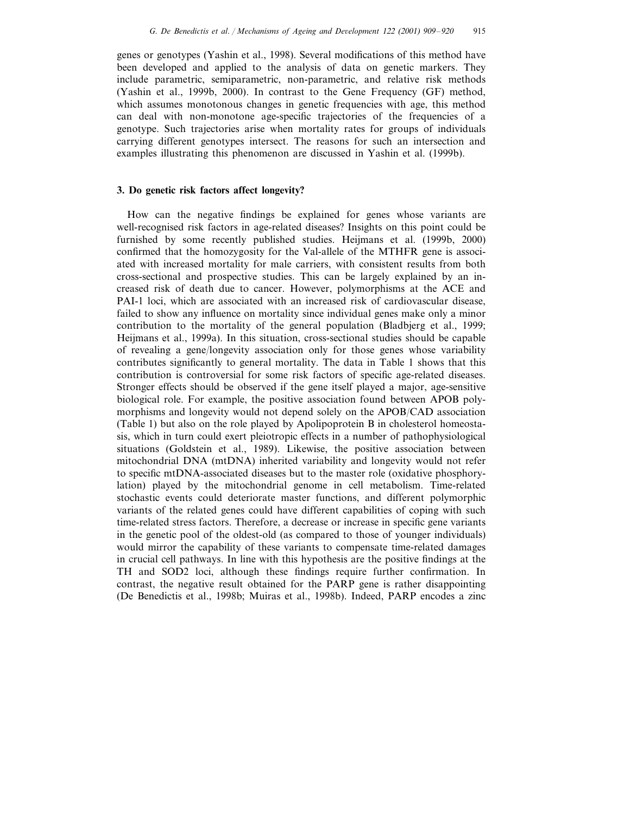genes or genotypes (Yashin et al., 1998). Several modifications of this method have been developed and applied to the analysis of data on genetic markers. They include parametric, semiparametric, non-parametric, and relative risk methods (Yashin et al., 1999b, 2000). In contrast to the Gene Frequency (GF) method, which assumes monotonous changes in genetic frequencies with age, this method can deal with non-monotone age-specific trajectories of the frequencies of a genotype. Such trajectories arise when mortality rates for groups of individuals carrying different genotypes intersect. The reasons for such an intersection and examples illustrating this phenomenon are discussed in Yashin et al. (1999b).

# **3. Do genetic risk factors affect longevity?**

How can the negative findings be explained for genes whose variants are well-recognised risk factors in age-related diseases? Insights on this point could be furnished by some recently published studies. Heijmans et al. (1999b, 2000) confirmed that the homozygosity for the Val-allele of the MTHFR gene is associated with increased mortality for male carriers, with consistent results from both cross-sectional and prospective studies. This can be largely explained by an increased risk of death due to cancer. However, polymorphisms at the ACE and PAI-1 loci, which are associated with an increased risk of cardiovascular disease, failed to show any influence on mortality since individual genes make only a minor contribution to the mortality of the general population (Bladbjerg et al., 1999; Heijmans et al., 1999a). In this situation, cross-sectional studies should be capable of revealing a gene/longevity association only for those genes whose variability contributes significantly to general mortality. The data in Table 1 shows that this contribution is controversial for some risk factors of specific age-related diseases. Stronger effects should be observed if the gene itself played a major, age-sensitive biological role. For example, the positive association found between APOB polymorphisms and longevity would not depend solely on the APOB/CAD association (Table 1) but also on the role played by Apolipoprotein B in cholesterol homeostasis, which in turn could exert pleiotropic effects in a number of pathophysiological situations (Goldstein et al., 1989). Likewise, the positive association between mitochondrial DNA (mtDNA) inherited variability and longevity would not refer to specific mtDNA-associated diseases but to the master role (oxidative phosphorylation) played by the mitochondrial genome in cell metabolism. Time-related stochastic events could deteriorate master functions, and different polymorphic variants of the related genes could have different capabilities of coping with such time-related stress factors. Therefore, a decrease or increase in specific gene variants in the genetic pool of the oldest-old (as compared to those of younger individuals) would mirror the capability of these variants to compensate time-related damages in crucial cell pathways. In line with this hypothesis are the positive findings at the TH and SOD2 loci, although these findings require further confirmation. In contrast, the negative result obtained for the PARP gene is rather disappointing (De Benedictis et al., 1998b; Muiras et al., 1998b). Indeed, PARP encodes a zinc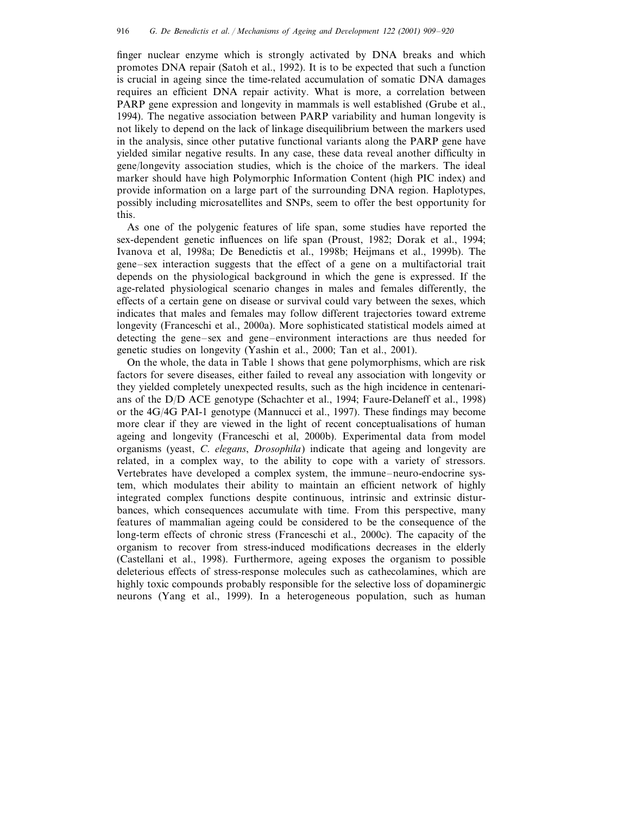finger nuclear enzyme which is strongly activated by DNA breaks and which promotes DNA repair (Satoh et al., 1992). It is to be expected that such a function is crucial in ageing since the time-related accumulation of somatic DNA damages requires an efficient DNA repair activity. What is more, a correlation between PARP gene expression and longevity in mammals is well established (Grube et al., 1994). The negative association between PARP variability and human longevity is not likely to depend on the lack of linkage disequilibrium between the markers used in the analysis, since other putative functional variants along the PARP gene have yielded similar negative results. In any case, these data reveal another difficulty in gene/longevity association studies, which is the choice of the markers. The ideal marker should have high Polymorphic Information Content (high PIC index) and provide information on a large part of the surrounding DNA region. Haplotypes, possibly including microsatellites and SNPs, seem to offer the best opportunity for this.

As one of the polygenic features of life span, some studies have reported the sex-dependent genetic influences on life span (Proust, 1982; Dorak et al., 1994; Ivanova et al, 1998a; De Benedictis et al., 1998b; Heijmans et al., 1999b). The gene–sex interaction suggests that the effect of a gene on a multifactorial trait depends on the physiological background in which the gene is expressed. If the age-related physiological scenario changes in males and females differently, the effects of a certain gene on disease or survival could vary between the sexes, which indicates that males and females may follow different trajectories toward extreme longevity (Franceschi et al., 2000a). More sophisticated statistical models aimed at detecting the gene–sex and gene–environment interactions are thus needed for genetic studies on longevity (Yashin et al., 2000; Tan et al., 2001).

On the whole, the data in Table 1 shows that gene polymorphisms, which are risk factors for severe diseases, either failed to reveal any association with longevity or they yielded completely unexpected results, such as the high incidence in centenarians of the D/D ACE genotype (Schachter et al., 1994; Faure-Delaneff et al., 1998) or the 4G/4G PAI-1 genotype (Mannucci et al., 1997). These findings may become more clear if they are viewed in the light of recent conceptualisations of human ageing and longevity (Franceschi et al, 2000b). Experimental data from model organisms (yeast, *C*. *elegans*, *Drosophila*) indicate that ageing and longevity are related, in a complex way, to the ability to cope with a variety of stressors. Vertebrates have developed a complex system, the immune–neuro-endocrine system, which modulates their ability to maintain an efficient network of highly integrated complex functions despite continuous, intrinsic and extrinsic disturbances, which consequences accumulate with time. From this perspective, many features of mammalian ageing could be considered to be the consequence of the long-term effects of chronic stress (Franceschi et al., 2000c). The capacity of the organism to recover from stress-induced modifications decreases in the elderly (Castellani et al., 1998). Furthermore, ageing exposes the organism to possible deleterious effects of stress-response molecules such as cathecolamines, which are highly toxic compounds probably responsible for the selective loss of dopaminergic neurons (Yang et al., 1999). In a heterogeneous population, such as human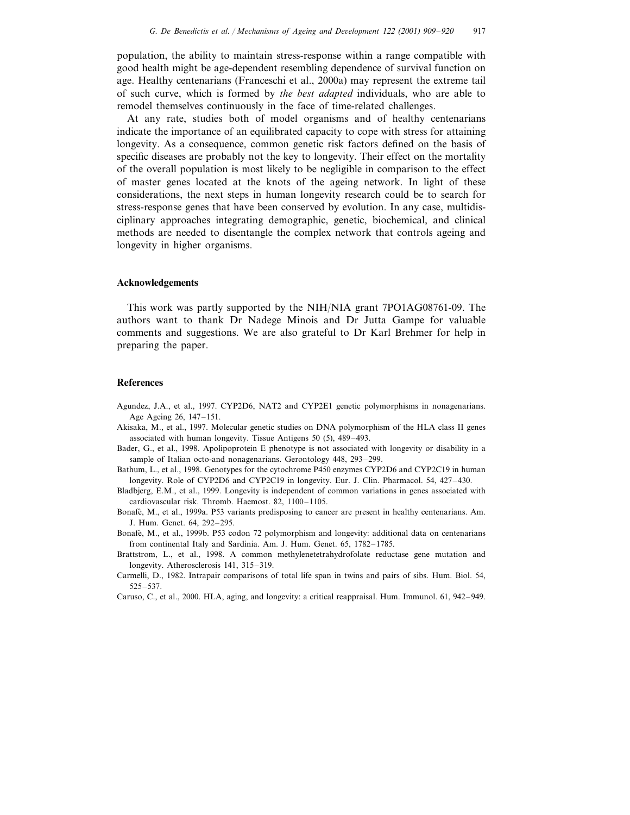population, the ability to maintain stress-response within a range compatible with good health might be age-dependent resembling dependence of survival function on age. Healthy centenarians (Franceschi et al., 2000a) may represent the extreme tail of such curve, which is formed by *the best adapted* individuals, who are able to remodel themselves continuously in the face of time-related challenges.

At any rate, studies both of model organisms and of healthy centenarians indicate the importance of an equilibrated capacity to cope with stress for attaining longevity. As a consequence, common genetic risk factors defined on the basis of specific diseases are probably not the key to longevity. Their effect on the mortality of the overall population is most likely to be negligible in comparison to the effect of master genes located at the knots of the ageing network. In light of these considerations, the next steps in human longevity research could be to search for stress-response genes that have been conserved by evolution. In any case, multidisciplinary approaches integrating demographic, genetic, biochemical, and clinical methods are needed to disentangle the complex network that controls ageing and longevity in higher organisms.

### **Acknowledgements**

This work was partly supported by the NIH/NIA grant 7PO1AG08761-09. The authors want to thank Dr Nadege Minois and Dr Jutta Gampe for valuable comments and suggestions. We are also grateful to Dr Karl Brehmer for help in preparing the paper.

#### **References**

- Agundez, J.A., et al., 1997. CYP2D6, NAT2 and CYP2E1 genetic polymorphisms in nonagenarians. Age Ageing 26, 147–151.
- Akisaka, M., et al., 1997. Molecular genetic studies on DNA polymorphism of the HLA class II genes associated with human longevity. Tissue Antigens 50 (5), 489–493.
- Bader, G., et al., 1998. Apolipoprotein E phenotype is not associated with longevity or disability in a sample of Italian octo-and nonagenarians. Gerontology 448, 293–299.
- Bathum, L., et al., 1998. Genotypes for the cytochrome P450 enzymes CYP2D6 and CYP2C19 in human longevity. Role of CYP2D6 and CYP2C19 in longevity. Eur. J. Clin. Pharmacol. 54, 427–430.
- Bladbjerg, E.M., et al., 1999. Longevity is independent of common variations in genes associated with cardiovascular risk. Thromb. Haemost. 82, 1100–1105.
- Bonafè, M., et al., 1999a. P53 variants predisposing to cancer are present in healthy centenarians. Am. J. Hum. Genet. 64, 292–295.
- Bonafè, M., et al., 1999b. P53 codon 72 polymorphism and longevity: additional data on centenarians from continental Italy and Sardinia. Am. J. Hum. Genet. 65, 1782–1785.
- Brattstrom, L., et al., 1998. A common methylenetetrahydrofolate reductase gene mutation and longevity. Atherosclerosis 141, 315–319.
- Carmelli, D., 1982. Intrapair comparisons of total life span in twins and pairs of sibs. Hum. Biol. 54, 525–537.

Caruso, C., et al., 2000. HLA, aging, and longevity: a critical reappraisal. Hum. Immunol. 61, 942–949.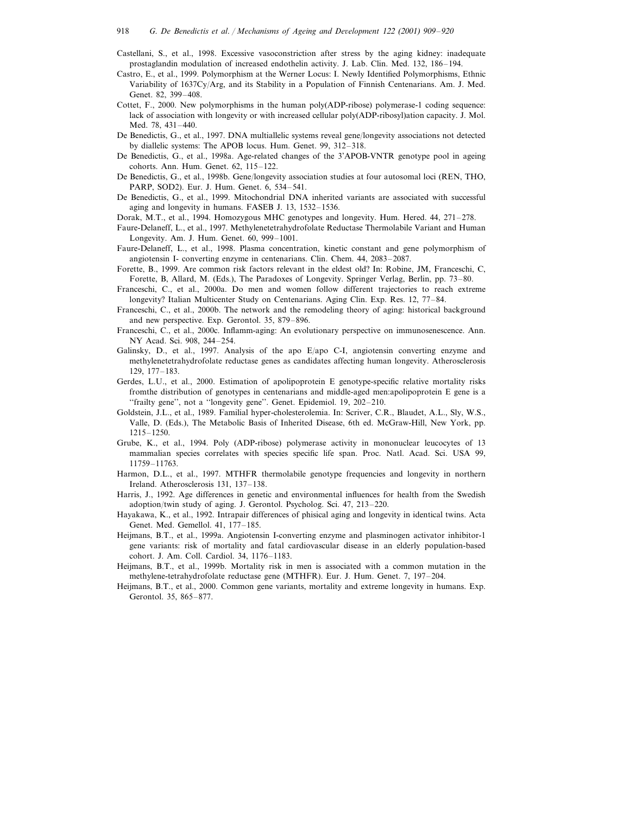- Castellani, S., et al., 1998. Excessive vasoconstriction after stress by the aging kidney: inadequate prostaglandin modulation of increased endothelin activity. J. Lab. Clin. Med. 132, 186–194.
- Castro, E., et al., 1999. Polymorphism at the Werner Locus: I. Newly Identified Polymorphisms, Ethnic Variability of 1637Cy/Arg, and its Stability in a Population of Finnish Centenarians. Am. J. Med. Genet. 82, 399–408.
- Cottet, F., 2000. New polymorphisms in the human poly(ADP-ribose) polymerase-1 coding sequence: lack of association with longevity or with increased cellular poly(ADP-ribosyl)ation capacity. J. Mol. Med. 78, 431–440.
- De Benedictis, G., et al., 1997. DNA multiallelic systems reveal gene/longevity associations not detected by diallelic systems: The APOB locus. Hum. Genet. 99, 312–318.
- De Benedictis, G., et al., 1998a. Age-related changes of the 3'APOB-VNTR genotype pool in ageing cohorts. Ann. Hum. Genet. 62, 115–122.
- De Benedictis, G., et al., 1998b. Gene/longevity association studies at four autosomal loci (REN, THO, PARP, SOD2). Eur. J. Hum. Genet. 6, 534–541.
- De Benedictis, G., et al., 1999. Mitochondrial DNA inherited variants are associated with successful aging and longevity in humans. FASEB J. 13, 1532–1536.
- Dorak, M.T., et al., 1994. Homozygous MHC genotypes and longevity. Hum. Hered. 44, 271–278.
- Faure-Delaneff, L., et al., 1997. Methylenetetrahydrofolate Reductase Thermolabile Variant and Human Longevity. Am. J. Hum. Genet. 60, 999–1001.
- Faure-Delaneff, L., et al., 1998. Plasma concentration, kinetic constant and gene polymorphism of angiotensin I- converting enzyme in centenarians. Clin. Chem. 44, 2083–2087.
- Forette, B., 1999. Are common risk factors relevant in the eldest old? In: Robine, JM, Franceschi, C, Forette, B, Allard, M. (Eds.), The Paradoxes of Longevity. Springer Verlag, Berlin, pp. 73–80.
- Franceschi, C., et al., 2000a. Do men and women follow different trajectories to reach extreme longevity? Italian Multicenter Study on Centenarians. Aging Clin. Exp. Res. 12, 77–84.
- Franceschi, C., et al., 2000b. The network and the remodeling theory of aging: historical background and new perspective. Exp. Gerontol. 35, 879–896.
- Franceschi, C., et al., 2000c. Inflamm-aging: An evolutionary perspective on immunosenescence. Ann. NY Acad. Sci. 908, 244–254.
- Galinsky, D., et al., 1997. Analysis of the apo E/apo C-I, angiotensin converting enzyme and methylenetetrahydrofolate reductase genes as candidates affecting human longevity. Atherosclerosis 129, 177–183.
- Gerdes, L.U., et al., 2000. Estimation of apolipoprotein E genotype-specific relative mortality risks fromthe distribution of genotypes in centenarians and middle-aged men:apolipoprotein E gene is a ''frailty gene'', not a ''longevity gene''. Genet. Epidemiol. 19, 202–210.
- Goldstein, J.L., et al., 1989. Familial hyper-cholesterolemia. In: Scriver, C.R., Blaudet, A.L., Sly, W.S., Valle, D. (Eds.), The Metabolic Basis of Inherited Disease, 6th ed. McGraw-Hill, New York, pp. 1215–1250.
- Grube, K., et al., 1994. Poly (ADP-ribose) polymerase activity in mononuclear leucocytes of 13 mammalian species correlates with species specific life span. Proc. Natl. Acad. Sci. USA 99, 11759–11763.
- Harmon, D.L., et al., 1997. MTHFR thermolabile genotype frequencies and longevity in northern Ireland. Atherosclerosis 131, 137–138.
- Harris, J., 1992. Age differences in genetic and environmental influences for health from the Swedish adoption/twin study of aging. J. Gerontol. Psycholog. Sci. 47, 213–220.
- Hayakawa, K., et al., 1992. Intrapair differences of phisical aging and longevity in identical twins. Acta Genet. Med. Gemellol. 41, 177–185.
- Heijmans, B.T., et al., 1999a. Angiotensin I-converting enzyme and plasminogen activator inhibitor-1 gene variants: risk of mortality and fatal cardiovascular disease in an elderly population-based cohort. J. Am. Coll. Cardiol. 34, 1176–1183.
- Heijmans, B.T., et al., 1999b. Mortality risk in men is associated with a common mutation in the methylene-tetrahydrofolate reductase gene (MTHFR). Eur. J. Hum. Genet. 7, 197–204.
- Heijmans, B.T., et al., 2000. Common gene variants, mortality and extreme longevity in humans. Exp. Gerontol. 35, 865–877.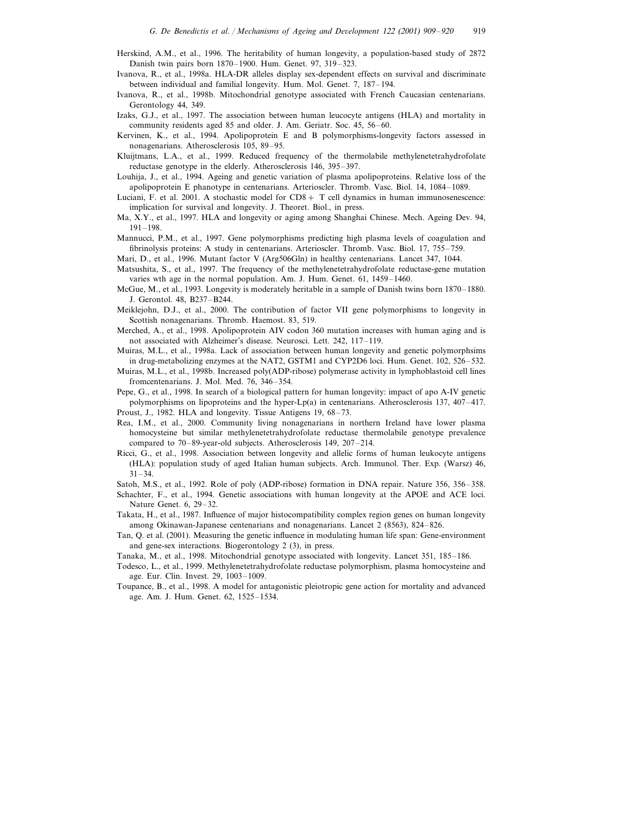- Herskind, A.M., et al., 1996. The heritability of human longevity, a population-based study of 2872 Danish twin pairs born 1870–1900. Hum. Genet. 97, 319–323.
- Ivanova, R., et al., 1998a. HLA-DR alleles display sex-dependent effects on survival and discriminate between individual and familial longevity. Hum. Mol. Genet. 7, 187–194.
- Ivanova, R., et al., 1998b. Mitochondrial genotype associated with French Caucasian centenarians. Gerontology 44, 349.
- Izaks, G.J., et al., 1997. The association between human leucocyte antigens (HLA) and mortality in community residents aged 85 and older. J. Am. Geriatr. Soc. 45, 56–60.
- Kervinen, K., et al., 1994. Apolipoprotein E and B polymorphisms-longevity factors assessed in nonagenarians. Atherosclerosis 105, 89–95.
- Kluijtmans, L.A., et al., 1999. Reduced frequency of the thermolabile methylenetetrahydrofolate reductase genotype in the elderly. Atherosclerosis 146, 395–397.
- Louhija, J., et al., 1994. Ageing and genetic variation of plasma apolipoproteins. Relative loss of the apolipoprotein E phanotype in centenarians. Arterioscler. Thromb. Vasc. Biol. 14, 1084–1089.
- Luciani, F. et al. 2001. A stochastic model for  $CD8 + T$  cell dynamics in human immunosenescence: implication for survival and longevity. J. Theoret. Biol., in press.
- Ma, X.Y., et al., 1997. HLA and longevity or aging among Shanghai Chinese. Mech. Ageing Dev. 94, 191–198.
- Mannucci, P.M., et al., 1997. Gene polymorphisms predicting high plasma levels of coagulation and fibrinolysis proteins: A study in centenarians. Arterioscler. Thromb. Vasc. Biol. 17, 755–759.
- Mari, D., et al., 1996. Mutant factor V (Arg506Gln) in healthy centenarians. Lancet 347, 1044.
- Matsushita, S., et al., 1997. The frequency of the methylenetetrahydrofolate reductase-gene mutation varies wth age in the normal population. Am. J. Hum. Genet. 61, 1459–1460.
- McGue, M., et al., 1993. Longevity is moderately heritable in a sample of Danish twins born 1870–1880. J. Gerontol. 48, B237–B244.
- Meiklejohn, D.J., et al., 2000. The contribution of factor VII gene polymorphisms to longevity in Scottish nonagenarians. Thromb. Haemost. 83, 519.
- Merched, A., et al., 1998. Apolipoprotein AIV codon 360 mutation increases with human aging and is not associated with Alzheimer's disease. Neurosci. Lett. 242, 117–119.
- Muiras, M.L., et al., 1998a. Lack of association between human longevity and genetic polymorphsims in drug-metabolizing enzymes at the NAT2, GSTM1 and CYP2D6 loci. Hum. Genet. 102, 526–532.
- Muiras, M.L., et al., 1998b. Increased poly(ADP-ribose) polymerase activity in lymphoblastoid cell lines fromcentenarians. J. Mol. Med. 76, 346–354.
- Pepe, G., et al., 1998. In search of a biological pattern for human longevity: impact of apo A-IV genetic polymorphisms on lipoproteins and the hyper-Lp(a) in centenarians. Atherosclerosis 137, 407–417.
- Proust, J., 1982. HLA and longevity. Tissue Antigens 19, 68–73.
- Rea, I.M., et al., 2000. Community living nonagenarians in northern Ireland have lower plasma homocysteine but similar methylenetetrahydrofolate reductase thermolabile genotype prevalence compared to 70–89-year-old subjects. Atherosclerosis 149, 207–214.
- Ricci, G., et al., 1998. Association between longevity and allelic forms of human leukocyte antigens (HLA): population study of aged Italian human subjects. Arch. Immunol. Ther. Exp. (Warsz) 46,  $31 - 34$ .

Satoh, M.S., et al., 1992. Role of poly (ADP-ribose) formation in DNA repair. Nature 356, 356–358.

- Schachter, F., et al., 1994. Genetic associations with human longevity at the APOE and ACE loci. Nature Genet. 6, 29–32.
- Takata, H., et al., 1987. Influence of major histocompatibility complex region genes on human longevity among Okinawan-Japanese centenarians and nonagenarians. Lancet 2 (8563), 824–826.
- Tan, Q. et al. (2001). Measuring the genetic influence in modulating human life span: Gene-environment and gene-sex interactions. Biogerontology 2 (3), in press.
- Tanaka, M., et al., 1998. Mitochondrial genotype associated with longevity. Lancet 351, 185–186.
- Todesco, L., et al., 1999. Methylenetetrahydrofolate reductase polymorphism, plasma homocysteine and age. Eur. Clin. Invest. 29, 1003–1009.
- Toupance, B., et al., 1998. A model for antagonistic pleiotropic gene action for mortality and advanced age. Am. J. Hum. Genet. 62, 1525–1534.